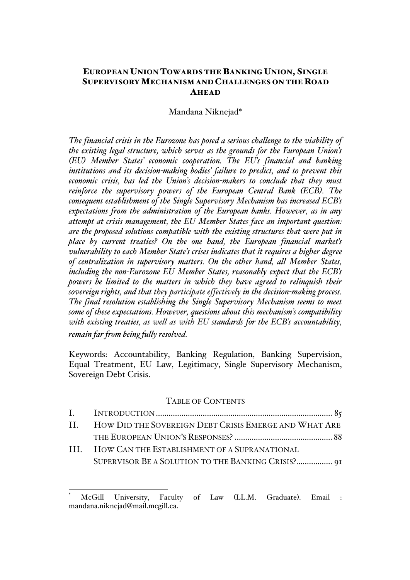# EUROPEAN UNION TOWARDS THE BANKING UNION, SINGLE SUPERVISORY MECHANISM AND CHALLENGES ON THE ROAD AHEAD

### Mandana Niknejad\*

*The financial crisis in the Eurozone has posed a serious challenge to the viability of the existing legal structure, which serves as the grounds for the European Union's (EU) Member States' economic cooperation. The EU's financial and banking institutions and its decision-making bodies' failure to predict, and to prevent this economic crisis, has led the Union's decision-makers to conclude that they must reinforce the supervisory powers of the European Central Bank (ECB). The consequent establishment of the Single Supervisory Mechanism has increased ECB's expectations from the administration of the European banks. However, as in any attempt at crisis management, the EU Member States face an important question: are the proposed solutions compatible with the existing structures that were put in place by current treaties? On the one hand, the European financial market's vulnerability to each Member State's crises indicates that it requires a higher degree of centralization in supervisory matters. On the other hand, all Member States, including the non-Eurozone EU Member States, reasonably expect that the ECB's powers be limited to the matters in which they have agreed to relinquish their sovereign rights, and that they participate effectively in the decision-making process. The final resolution establishing the Single Supervisory Mechanism seems to meet some of these expectations. However, questions about this mechanism's compatibility with existing treaties, as well as with EU standards for the ECB's accountability, remain far from being fully resolved.* 

Keywords: Accountability, Banking Regulation, Banking Supervision, Equal Treatment, EU Law, Legitimacy, Single Supervisory Mechanism, Sovereign Debt Crisis.

#### TABLE OF CONTENTS

| II. HOW DID THE SOVEREIGN DEBT CRISIS EMERGE AND WHAT ARE |  |
|-----------------------------------------------------------|--|
|                                                           |  |
| III. HOW CAN THE ESTABLISHMENT OF A SUPRANATIONAL         |  |
| SUPERVISOR BE A SOLUTION TO THE BANKING CRISIS? 91        |  |

McGill University. Faculty of Law (LL.M. Graduate). Email : mandana.niknejad@mail.mcgill.ca.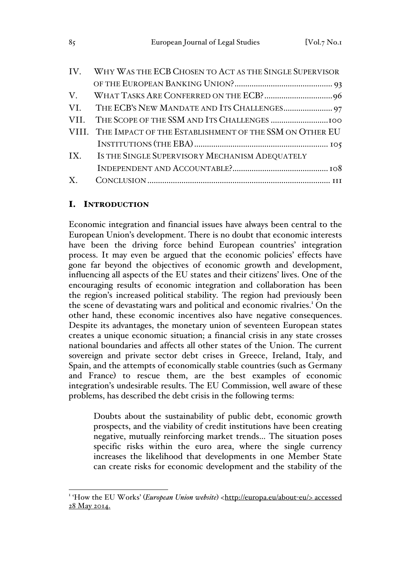| IV. WHY WAS THE ECB CHOSEN TO ACT AS THE SINGLE SUPERVISOR   |  |
|--------------------------------------------------------------|--|
|                                                              |  |
|                                                              |  |
|                                                              |  |
|                                                              |  |
| VIII. THE IMPACT OF THE ESTABLISHMENT OF THE SSM ON OTHER EU |  |
|                                                              |  |
| IX. IS THE SINGLE SUPERVISORY MECHANISM ADEQUATELY           |  |
|                                                              |  |
|                                                              |  |
|                                                              |  |

# I. INTRODUCTION

Economic integration and financial issues have always been central to the European Union's development. There is no doubt that economic interests have been the driving force behind European countries' integration process. It may even be argued that the economic policies' effects have gone far beyond the objectives of economic growth and development, influencing all aspects of the EU states and their citizens' lives. One of the encouraging results of economic integration and collaboration has been the region's increased political stability. The region had previously been the scene of devastating wars and political and economic rivalries.<sup>1</sup> On the other hand, these economic incentives also have negative consequences. Despite its advantages, the monetary union of seventeen European states creates a unique economic situation; a financial crisis in any state crosses national boundaries and affects all other states of the Union. The current sovereign and private sector debt crises in Greece, Ireland, Italy, and Spain, and the attempts of economically stable countries (such as Germany and France) to rescue them, are the best examples of economic integration's undesirable results. The EU Commission, well aware of these problems, has described the debt crisis in the following terms:

Doubts about the sustainability of public debt, economic growth prospects, and the viability of credit institutions have been creating negative, mutually reinforcing market trends… The situation poses specific risks within the euro area, where the single currency increases the likelihood that developments in one Member State can create risks for economic development and the stability of the

<sup>&</sup>lt;sup>1</sup>'How the EU Works' (*European Union website*) <http://europa.eu/about-eu/> accessed 28 May 2014.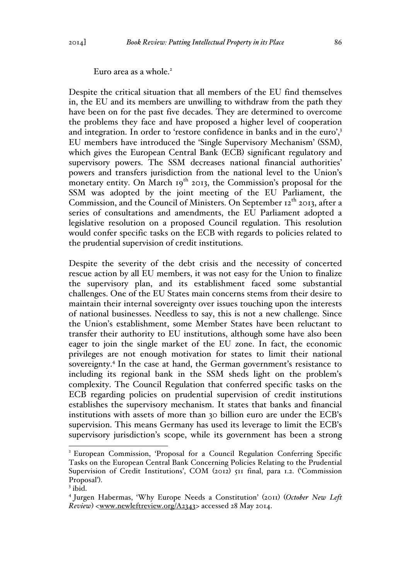Euro area as a whole.<sup>2</sup>

Despite the critical situation that all members of the EU find themselves in, the EU and its members are unwilling to withdraw from the path they have been on for the past five decades. They are determined to overcome the problems they face and have proposed a higher level of cooperation and integration. In order to 'restore confidence in banks and in the euro',<sup>3</sup> EU members have introduced the 'Single Supervisory Mechanism' (SSM), which gives the European Central Bank (ECB) significant regulatory and supervisory powers. The SSM decreases national financial authorities' powers and transfers jurisdiction from the national level to the Union's monetary entity. On March  $19<sup>th</sup>$  2013, the Commission's proposal for the SSM was adopted by the joint meeting of the EU Parliament, the Commission, and the Council of Ministers. On September  $12<sup>th</sup>$  2013, after a series of consultations and amendments, the EU Parliament adopted a legislative resolution on a proposed Council regulation. This resolution would confer specific tasks on the ECB with regards to policies related to the prudential supervision of credit institutions.

Despite the severity of the debt crisis and the necessity of concerted rescue action by all EU members, it was not easy for the Union to finalize the supervisory plan, and its establishment faced some substantial challenges. One of the EU States main concerns stems from their desire to maintain their internal sovereignty over issues touching upon the interests of national businesses. Needless to say, this is not a new challenge. Since the Union's establishment, some Member States have been reluctant to transfer their authority to EU institutions, although some have also been eager to join the single market of the EU zone. In fact, the economic privileges are not enough motivation for states to limit their national sovereignty.<sup>4</sup> In the case at hand, the German government's resistance to including its regional bank in the SSM sheds light on the problem's complexity. The Council Regulation that conferred specific tasks on the ECB regarding policies on prudential supervision of credit institutions establishes the supervisory mechanism. It states that banks and financial institutions with assets of more than 30 billion euro are under the ECB's supervision. This means Germany has used its leverage to limit the ECB's supervisory jurisdiction's scope, while its government has been a strong

 <sup>2</sup> European Commission, 'Proposal for a Council Regulation Conferring Specific Tasks on the European Central Bank Concerning Policies Relating to the Prudential Supervision of Credit Institutions', COM (2012) 511 final, para 1.2. ('Commission Proposal').<br><sup>3</sup> ibid.<br><sup>4</sup> Jurgen Habermas, 'Why Europe Needs a Constitution' (2011) (*October New Left* 

*Review*) <www.newleftreview.org/A2343> accessed 28 May 2014.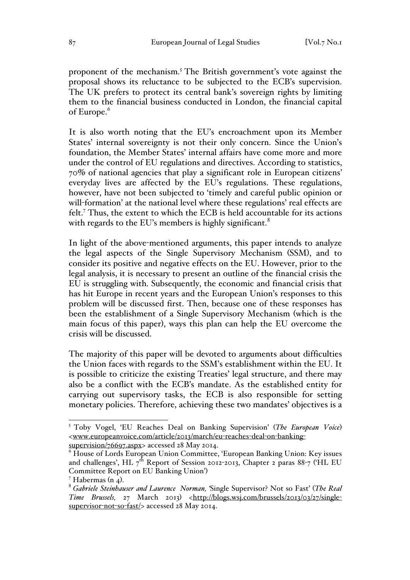proponent of the mechanism.5 The British government's vote against the proposal shows its reluctance to be subjected to the ECB's supervision. The UK prefers to protect its central bank's sovereign rights by limiting them to the financial business conducted in London, the financial capital of Europe.<sup>6</sup>

It is also worth noting that the EU's encroachment upon its Member States' internal sovereignty is not their only concern. Since the Union's foundation, the Member States' internal affairs have come more and more under the control of EU regulations and directives. According to statistics, 70% of national agencies that play a significant role in European citizens' everyday lives are affected by the EU's regulations. These regulations, however, have not been subjected to 'timely and careful public opinion or will-formation' at the national level where these regulations' real effects are felt.7 Thus, the extent to which the ECB is held accountable for its actions with regards to the EU's members is highly significant. $8$ 

In light of the above-mentioned arguments, this paper intends to analyze the legal aspects of the Single Supervisory Mechanism (SSM), and to consider its positive and negative effects on the EU. However, prior to the legal analysis, it is necessary to present an outline of the financial crisis the EU is struggling with. Subsequently, the economic and financial crisis that has hit Europe in recent years and the European Union's responses to this problem will be discussed first. Then, because one of these responses has been the establishment of a Single Supervisory Mechanism (which is the main focus of this paper), ways this plan can help the EU overcome the crisis will be discussed.

The majority of this paper will be devoted to arguments about difficulties the Union faces with regards to the SSM's establishment within the EU. It is possible to criticize the existing Treaties' legal structure, and there may also be a conflict with the ECB's mandate. As the established entity for carrying out supervisory tasks, the ECB is also responsible for setting monetary policies. Therefore, achieving these two mandates' objectives is a

 <sup>5</sup> Toby Vogel, 'EU Reaches Deal on Banking Supervision' (*The European Voice*) <www.europeanvoice.com/article/2013/march/eu-reaches-deal-on-banking-

 $6$  House of Lords European Union Committee, 'European Banking Union: Key issues and challenges', HL  $7^{th}$  Report of Session 2012-2013, Chapter 2 paras 88-7 ('HL EU Committee Report on EU Banking Union')

<sup>&</sup>lt;sup>7</sup> Habermas (n <sub>4</sub>).<br><sup>8</sup> *Gabriele Steinhauser and Laurence Norman*, 'Single Supervisor? Not so Fast' (*The Real*) *Time Brussels,* 27 March 2013) <http://blogs.wsj.com/brussels/2013/03/27/singlesupervisor-not-so-fast/> accessed 28 May 2014.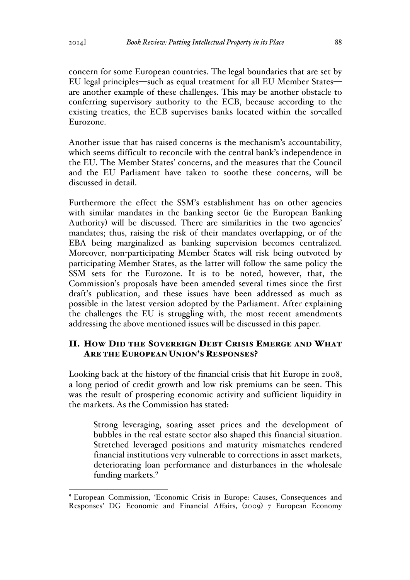concern for some European countries. The legal boundaries that are set by EU legal principles—such as equal treatment for all EU Member States are another example of these challenges. This may be another obstacle to conferring supervisory authority to the ECB, because according to the existing treaties, the ECB supervises banks located within the so-called Eurozone.

Another issue that has raised concerns is the mechanism's accountability, which seems difficult to reconcile with the central bank's independence in the EU. The Member States' concerns, and the measures that the Council and the EU Parliament have taken to soothe these concerns, will be discussed in detail.

Furthermore the effect the SSM's establishment has on other agencies with similar mandates in the banking sector (ie the European Banking Authority) will be discussed. There are similarities in the two agencies' mandates; thus, raising the risk of their mandates overlapping, or of the EBA being marginalized as banking supervision becomes centralized. Moreover, non-participating Member States will risk being outvoted by participating Member States, as the latter will follow the same policy the SSM sets for the Eurozone. It is to be noted, however, that, the Commission's proposals have been amended several times since the first draft's publication, and these issues have been addressed as much as possible in the latest version adopted by the Parliament. After explaining the challenges the EU is struggling with, the most recent amendments addressing the above mentioned issues will be discussed in this paper.

# II. HOW DID THE SOVEREIGN DEBT CRISIS EMERGE AND WHAT ARE THE EUROPEAN UNION'S RESPONSES?

Looking back at the history of the financial crisis that hit Europe in 2008, a long period of credit growth and low risk premiums can be seen. This was the result of prospering economic activity and sufficient liquidity in the markets. As the Commission has stated:

Strong leveraging, soaring asset prices and the development of bubbles in the real estate sector also shaped this financial situation. Stretched leveraged positions and maturity mismatches rendered financial institutions very vulnerable to corrections in asset markets, deteriorating loan performance and disturbances in the wholesale funding markets.<sup>9</sup>

 <sup>9</sup> European Commission, 'Economic Crisis in Europe: Causes, Consequences and Responses' DG Economic and Financial Affairs, (2009) 7 European Economy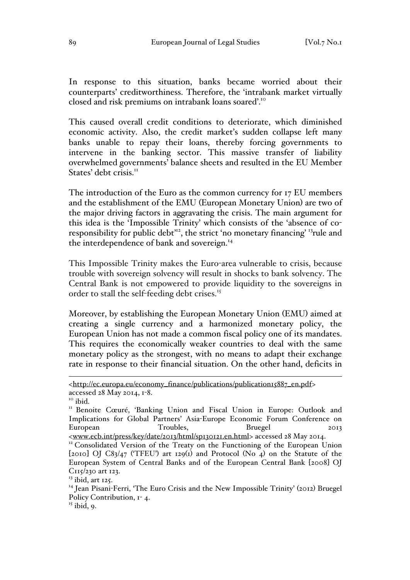In response to this situation, banks became worried about their counterparts' creditworthiness. Therefore, the 'intrabank market virtually closed and risk premiums on intrabank loans soared'.10

This caused overall credit conditions to deteriorate, which diminished economic activity. Also, the credit market's sudden collapse left many banks unable to repay their loans, thereby forcing governments to intervene in the banking sector. This massive transfer of liability overwhelmed governments' balance sheets and resulted in the EU Member States' debt crisis<sup>II</sup>

The introduction of the Euro as the common currency for 17 EU members and the establishment of the EMU (European Monetary Union) are two of the major driving factors in aggravating the crisis. The main argument for this idea is the 'Impossible Trinity' which consists of the 'absence of coresponsibility for public debt<sup>12</sup>, the strict 'no monetary financing' <sup>13</sup>rule and the interdependence of bank and sovereign.<sup>14</sup>

This Impossible Trinity makes the Euro-area vulnerable to crisis, because trouble with sovereign solvency will result in shocks to bank solvency. The Central Bank is not empowered to provide liquidity to the sovereigns in order to stall the self-feeding debt crises.<sup>15</sup>

Moreover, by establishing the European Monetary Union (EMU) aimed at creating a single currency and a harmonized monetary policy, the European Union has not made a common fiscal policy one of its mandates. This requires the economically weaker countries to deal with the same monetary policy as the strongest, with no means to adapt their exchange rate in response to their financial situation. On the other hand, deficits in

 $15$  ibid, 9.

<sup>&</sup>lt;http://ec.europa.eu/economy\_finance/publications/publication15887\_en.pdf>

accessed 28 May 2014, 1-8.<br><sup>10</sup> ibid.<br><sup>11</sup> Benoite Cœuré, 'Banking Union and Fiscal Union in Europe: Outlook and Implications for Global Partners' Asia-Europe Economic Forum Conference on European Troubles, Bruegel 2013

<sup>&</sup>lt;www.ecb.int/press/key/date/2013/html/sp130121.en.html> accessed 28 May 2014. <sup>12</sup> Consolidated Version of the Treaty on the Functioning of the European Union [2010] OJ C83/47 (TFEU') art 129(1) and Protocol (No 4) on the Statute of the European System of Central Banks and of the European Central Bank [2008] OJ C<sub>115</sub>/230 art 123.

 $13$  ibid, art 125.

<sup>14</sup> Jean Pisani-Ferri, 'The Euro Crisis and the New Impossible Trinity' (2012) Bruegel Policy Contribution,  $I - 4$ .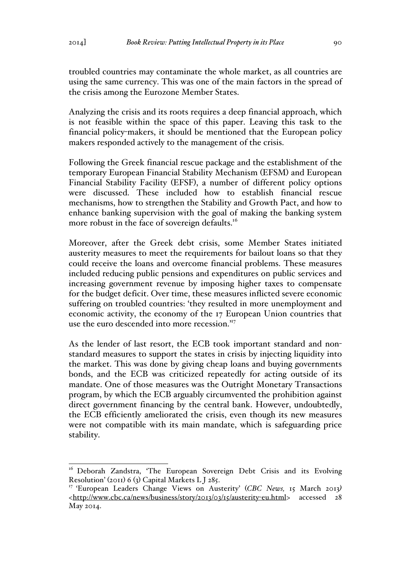troubled countries may contaminate the whole market, as all countries are using the same currency. This was one of the main factors in the spread of the crisis among the Eurozone Member States.

Analyzing the crisis and its roots requires a deep financial approach, which is not feasible within the space of this paper. Leaving this task to the financial policy-makers, it should be mentioned that the European policy makers responded actively to the management of the crisis.

Following the Greek financial rescue package and the establishment of the temporary European Financial Stability Mechanism (EFSM) and European Financial Stability Facility (EFSF), a number of different policy options were discussed. These included how to establish financial rescue mechanisms, how to strengthen the Stability and Growth Pact, and how to enhance banking supervision with the goal of making the banking system more robust in the face of sovereign defaults.<sup>16</sup>

Moreover, after the Greek debt crisis, some Member States initiated austerity measures to meet the requirements for bailout loans so that they could receive the loans and overcome financial problems. These measures included reducing public pensions and expenditures on public services and increasing government revenue by imposing higher taxes to compensate for the budget deficit. Over time, these measures inflicted severe economic suffering on troubled countries: 'they resulted in more unemployment and economic activity, the economy of the 17 European Union countries that use the euro descended into more recession."<sup>7</sup>

As the lender of last resort, the ECB took important standard and nonstandard measures to support the states in crisis by injecting liquidity into the market. This was done by giving cheap loans and buying governments bonds, and the ECB was criticized repeatedly for acting outside of its mandate. One of those measures was the Outright Monetary Transactions program, by which the ECB arguably circumvented the prohibition against direct government financing by the central bank. However, undoubtedly, the ECB efficiently ameliorated the crisis, even though its new measures were not compatible with its main mandate, which is safeguarding price stability.

<sup>&</sup>lt;sup>16</sup> Deborah Zandstra, 'The European Sovereign Debt Crisis and its Evolving Resolution' (2011) 6 (3) Capital Markets L J 285.

<sup>17</sup> 'European Leaders Change Views on Austerity' (*CBC News,* 15 March 2013*)* <http://www.cbc.ca/news/business/story/2013/03/15/austerity-eu.html> accessed 28 May 2014.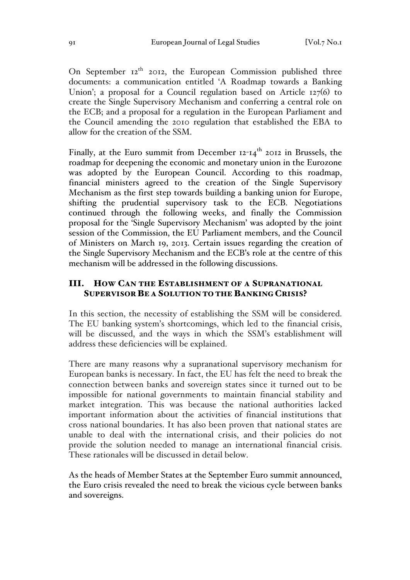On September  $12<sup>th</sup>$  2012, the European Commission published three documents: a communication entitled 'A Roadmap towards a Banking Union'; a proposal for a Council regulation based on Article 127(6) to create the Single Supervisory Mechanism and conferring a central role on the ECB; and a proposal for a regulation in the European Parliament and the Council amending the 2010 regulation that established the EBA to allow for the creation of the SSM.

Finally, at the Euro summit from December  $12-14$ <sup>th</sup> 2012 in Brussels, the roadmap for deepening the economic and monetary union in the Eurozone was adopted by the European Council. According to this roadmap, financial ministers agreed to the creation of the Single Supervisory Mechanism as the first step towards building a banking union for Europe, shifting the prudential supervisory task to the ECB. Negotiations continued through the following weeks, and finally the Commission proposal for the 'Single Supervisory Mechanism' was adopted by the joint session of the Commission, the EU Parliament members, and the Council of Ministers on March 19, 2013. Certain issues regarding the creation of the Single Supervisory Mechanism and the ECB's role at the centre of this mechanism will be addressed in the following discussions.

## III. HOW CAN THE ESTABLISHMENT OF A SUPRANATIONAL SUPERVISOR BE A SOLUTION TO THE BANKING CRISIS?

In this section, the necessity of establishing the SSM will be considered. The EU banking system's shortcomings, which led to the financial crisis, will be discussed, and the ways in which the SSM's establishment will address these deficiencies will be explained.

There are many reasons why a supranational supervisory mechanism for European banks is necessary. In fact, the EU has felt the need to break the connection between banks and sovereign states since it turned out to be impossible for national governments to maintain financial stability and market integration. This was because the national authorities lacked important information about the activities of financial institutions that cross national boundaries. It has also been proven that national states are unable to deal with the international crisis, and their policies do not provide the solution needed to manage an international financial crisis. These rationales will be discussed in detail below.

As the heads of Member States at the September Euro summit announced, the Euro crisis revealed the need to break the vicious cycle between banks and sovereigns.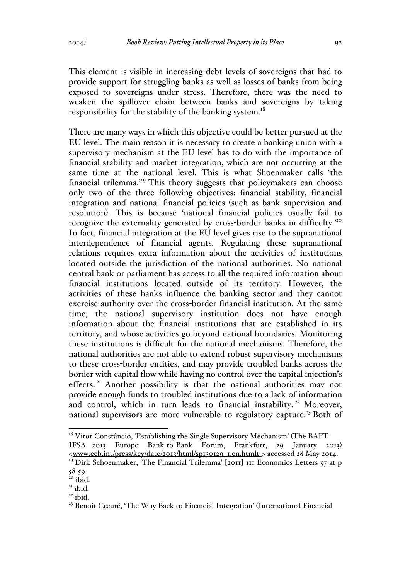This element is visible in increasing debt levels of sovereigns that had to provide support for struggling banks as well as losses of banks from being exposed to sovereigns under stress. Therefore, there was the need to weaken the spillover chain between banks and sovereigns by taking responsibility for the stability of the banking system.<sup>18</sup>

There are many ways in which this objective could be better pursued at the EU level. The main reason it is necessary to create a banking union with a supervisory mechanism at the EU level has to do with the importance of financial stability and market integration, which are not occurring at the same time at the national level. This is what Shoenmaker calls 'the financial trilemma.'<sup>19</sup> This theory suggests that policymakers can choose only two of the three following objectives: financial stability, financial integration and national financial policies (such as bank supervision and resolution). This is because 'national financial policies usually fail to recognize the externality generated by cross-border banks in difficulty.'20 In fact, financial integration at the EU level gives rise to the supranational interdependence of financial agents. Regulating these supranational relations requires extra information about the activities of institutions located outside the jurisdiction of the national authorities. No national central bank or parliament has access to all the required information about financial institutions located outside of its territory. However, the activities of these banks influence the banking sector and they cannot exercise authority over the cross-border financial institution. At the same time, the national supervisory institution does not have enough information about the financial institutions that are established in its territory, and whose activities go beyond national boundaries. Monitoring these institutions is difficult for the national mechanisms. Therefore, the national authorities are not able to extend robust supervisory mechanisms to these cross-border entities, and may provide troubled banks across the border with capital flow while having no control over the capital injection's effects.<sup>21</sup> Another possibility is that the national authorities may not provide enough funds to troubled institutions due to a lack of information and control, which in turn leads to financial instability.<sup>22</sup> Moreover, national supervisors are more vulnerable to regulatory capture.<sup>23</sup> Both of

 $18$  Vitor Constâncio, 'Establishing the Single Supervisory Mechanism' (The BAFT-IFSA 2013 Europe Bank-to-Bank Forum, Frankfurt, 29 January 2013) <www.ecb.int/press/key/date/2013/html/sp130129\_1.en.htmlt > accessed 28 May 2014.

<sup>&</sup>lt;sup>19</sup> Dirk Schoenmaker, 'The Financial Trilemma'  $[201]$  III Economics Letters 57 at p 58-59.<br><sup>20</sup> ibid.<br><sup>21</sup> ibid.<br><sup>23</sup> Benoit Cœuré, 'The Way Back to Financial Integration' (International Financial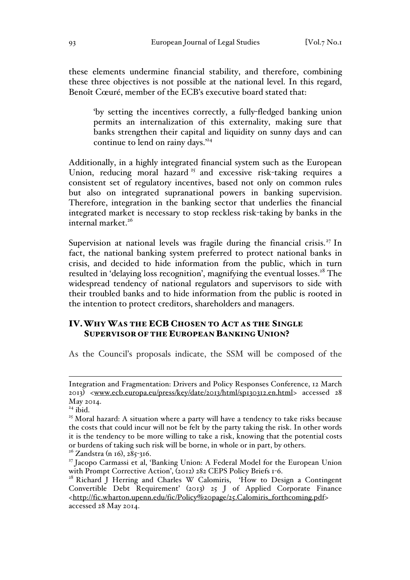these elements undermine financial stability, and therefore, combining these three objectives is not possible at the national level. In this regard, Benoît Cœuré, member of the ECB's executive board stated that:

'by setting the incentives correctly, a fully-fledged banking union permits an internalization of this externality, making sure that banks strengthen their capital and liquidity on sunny days and can continue to lend on rainy days.<sup>24</sup>

Additionally, in a highly integrated financial system such as the European Union, reducing moral hazard<sup>25</sup> and excessive risk-taking requires a consistent set of regulatory incentives, based not only on common rules but also on integrated supranational powers in banking supervision. Therefore, integration in the banking sector that underlies the financial integrated market is necessary to stop reckless risk-taking by banks in the internal market. $26$ 

Supervision at national levels was fragile during the financial crisis.<sup>27</sup> In fact, the national banking system preferred to protect national banks in crisis, and decided to hide information from the public, which in turn resulted in 'delaying loss recognition', magnifying the eventual losses.<sup>28</sup> The widespread tendency of national regulators and supervisors to side with their troubled banks and to hide information from the public is rooted in the intention to protect creditors, shareholders and managers.

# IV.WHY WAS THE ECB CHOSEN TO ACT AS THE SINGLE SUPERVISOR OF THE EUROPEAN BANKING UNION?

As the Council's proposals indicate, the SSM will be composed of the

Integration and Fragmentation: Drivers and Policy Responses Conference, 12 March 2013) <www.ecb.europa.eu/press/key/date/2013/html/sp130312.en.html> accessed 28 May 2014.

<sup>&</sup>lt;sup>24</sup> ibid.<br><sup>25</sup> Moral hazard: A situation where a party will have a tendency to take risks because the costs that could incur will not be felt by the party taking the risk. In other words it is the tendency to be more willing to take a risk, knowing that the potential costs or burdens of taking such risk will be borne, in whole or in part, by others. <sup>26</sup> Zandstra (n 16), 285-316.

<sup>&</sup>lt;sup>27</sup> Jacopo Carmassi et al, 'Banking Union: A Federal Model for the European Union with Prompt Corrective Action', (2012) 282 CEPS Policy Briefs 1-6.

<sup>&</sup>lt;sup>28</sup> Richard J Herring and Charles W Calomiris, 'How to Design a Contingent Convertible Debt Requirement' (2013) 25 J of Applied Corporate Finance <http://fic.wharton.upenn.edu/fic/Policy%20page/25.Calomiris\_forthcoming.pdf> accessed 28 May 2014.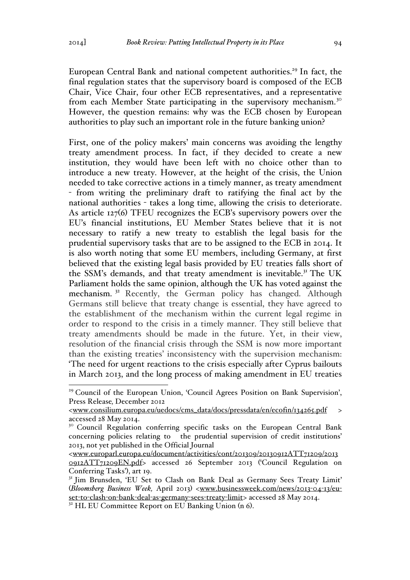European Central Bank and national competent authorities.<sup>29</sup> In fact, the final regulation states that the supervisory board is composed of the ECB Chair, Vice Chair, four other ECB representatives, and a representative from each Member State participating in the supervisory mechanism.<sup>30</sup> However, the question remains: why was the ECB chosen by European authorities to play such an important role in the future banking union?

First, one of the policy makers' main concerns was avoiding the lengthy treaty amendment process. In fact, if they decided to create a new institution, they would have been left with no choice other than to introduce a new treaty. However, at the height of the crisis, the Union needed to take corrective actions in a timely manner, as treaty amendment - from writing the preliminary draft to ratifying the final act by the national authorities - takes a long time, allowing the crisis to deteriorate. As article 127(6) TFEU recognizes the ECB's supervisory powers over the EU's financial institutions, EU Member States believe that it is not necessary to ratify a new treaty to establish the legal basis for the prudential supervisory tasks that are to be assigned to the ECB in 2014. It is also worth noting that some EU members, including Germany, at first believed that the existing legal basis provided by EU treaties falls short of the SSM's demands, and that treaty amendment is inevitable.<sup>31</sup> The UK Parliament holds the same opinion, although the UK has voted against the mechanism.<sup>32</sup> Recently, the German policy has changed. Although Germans still believe that treaty change is essential, they have agreed to the establishment of the mechanism within the current legal regime in order to respond to the crisis in a timely manner. They still believe that treaty amendments should be made in the future. Yet, in their view, resolution of the financial crisis through the SSM is now more important than the existing treaties' inconsistency with the supervision mechanism: 'The need for urgent reactions to the crisis especially after Cyprus bailouts in March 2013, and the long process of making amendment in EU treaties

<sup>&</sup>lt;sup>29</sup> Council of the European Union, 'Council Agrees Position on Bank Supervision', Press Release*,* December 2012

<sup>&</sup>lt;www.consilium.europa.eu/uedocs/cms\_data/docs/pressdata/en/ecofin/134265.pdf > accessed 28 May 2014.

<sup>&</sup>lt;sup>30</sup> Council Regulation conferring specific tasks on the European Central Bank concerning policies relating to the prudential supervision of credit institutions' 2013, not yet published in the Official Journal

<sup>&</sup>lt;www.europarl.europa.eu/document/activities/cont/201309/20130912ATT71209/2013 0912ATT71209EN.pdf> accessed 26 September 2013 ('Council Regulation on Conferring Tasks'), art 19.

<sup>&</sup>lt;sup>31</sup> Jim Brunsden, 'EU Set to Clash on Bank Deal as Germany Sees Treaty Limit' (*Bloomsberg Business Week,* April 2013) <www.businessweek.com/news/2013-04-13/euset-to-clash-on-bank-deal-as-germany-sees-treaty-limit> accessed 28 May 2014.

 $32$  HL EU Committee Report on EU Banking Union (n 6).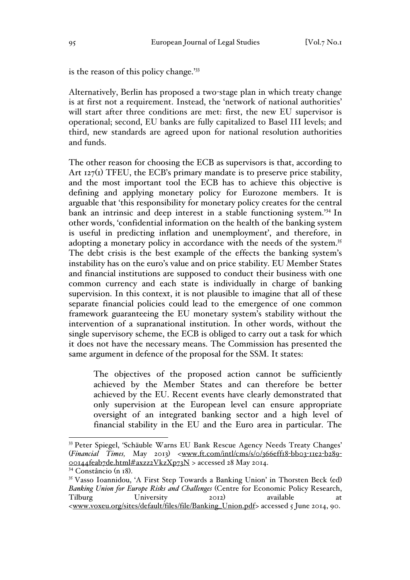is the reason of this policy change.'33

Alternatively, Berlin has proposed a two-stage plan in which treaty change is at first not a requirement. Instead, the 'network of national authorities' will start after three conditions are met: first, the new EU supervisor is operational; second, EU banks are fully capitalized to Basel III levels; and third, new standards are agreed upon for national resolution authorities and funds.

The other reason for choosing the ECB as supervisors is that, according to Art 127(1) TFEU, the ECB's primary mandate is to preserve price stability, and the most important tool the ECB has to achieve this objective is defining and applying monetary policy for Eurozone members. It is arguable that 'this responsibility for monetary policy creates for the central bank an intrinsic and deep interest in a stable functioning system.'<sup>34</sup> In other words, 'confidential information on the health of the banking system is useful in predicting inflation and unemployment', and therefore, in adopting a monetary policy in accordance with the needs of the system.<sup>35</sup> The debt crisis is the best example of the effects the banking system's instability has on the euro's value and on price stability. EU Member States and financial institutions are supposed to conduct their business with one common currency and each state is individually in charge of banking supervision. In this context, it is not plausible to imagine that all of these separate financial policies could lead to the emergence of one common framework guaranteeing the EU monetary system's stability without the intervention of a supranational institution. In other words, without the single supervisory scheme, the ECB is obliged to carry out a task for which it does not have the necessary means. The Commission has presented the same argument in defence of the proposal for the SSM. It states:

The objectives of the proposed action cannot be sufficiently achieved by the Member States and can therefore be better achieved by the EU. Recent events have clearly demonstrated that only supervision at the European level can ensure appropriate oversight of an integrated banking sector and a high level of financial stability in the EU and the Euro area in particular. The

 <sup>33</sup> Peter Spiegel, 'Schäuble Warns EU Bank Rescue Agency Needs Treaty Changes' (*Financial Times,* May 2013) <www.ft.com/intl/cms/s/0/366eff18-bb03-11e2-b289- 00144feab7de.html#axzz2VkzXp73N > accessed 28 May 2014.

 $34$  Constâncio (n 18).<br><sup>35</sup> Vasso Ioannidou, 'A First Step Towards a Banking Union' in Thorsten Beck (ed) *Banking Union for Europe Risks and Challenges* (Centre for Economic Policy Research, Tilburg University 2012) available at <www.voxeu.org/sites/default/files/file/Banking\_Union.pdf> accessed 5 June 2014, 90.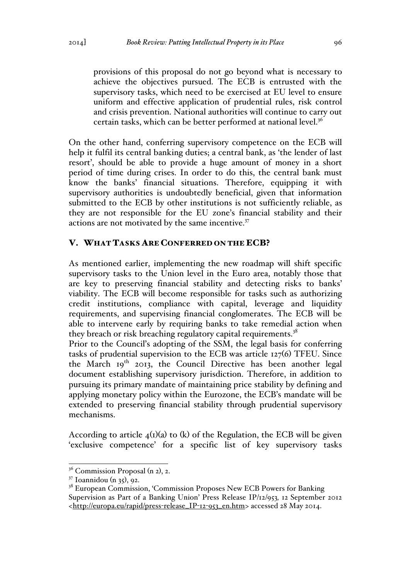provisions of this proposal do not go beyond what is necessary to achieve the objectives pursued. The ECB is entrusted with the supervisory tasks, which need to be exercised at EU level to ensure uniform and effective application of prudential rules, risk control and crisis prevention. National authorities will continue to carry out certain tasks, which can be better performed at national level.<sup>36</sup>

On the other hand, conferring supervisory competence on the ECB will help it fulfil its central banking duties; a central bank, as 'the lender of last resort', should be able to provide a huge amount of money in a short period of time during crises. In order to do this, the central bank must know the banks' financial situations. Therefore, equipping it with supervisory authorities is undoubtedly beneficial, given that information submitted to the ECB by other institutions is not sufficiently reliable, as they are not responsible for the EU zone's financial stability and their actions are not motivated by the same incentive.<sup>37</sup>

#### V. WHAT TASKS ARE CONFERRED ON THE ECB?

As mentioned earlier, implementing the new roadmap will shift specific supervisory tasks to the Union level in the Euro area, notably those that are key to preserving financial stability and detecting risks to banks' viability. The ECB will become responsible for tasks such as authorizing credit institutions, compliance with capital, leverage and liquidity requirements, and supervising financial conglomerates. The ECB will be able to intervene early by requiring banks to take remedial action when they breach or risk breaching regulatory capital requirements.<sup>38</sup>

Prior to the Council's adopting of the SSM, the legal basis for conferring tasks of prudential supervision to the ECB was article 127(6) TFEU. Since the March 19<sup>th</sup> 2013, the Council Directive has been another legal document establishing supervisory jurisdiction. Therefore, in addition to pursuing its primary mandate of maintaining price stability by defining and applying monetary policy within the Eurozone, the ECB's mandate will be extended to preserving financial stability through prudential supervisory mechanisms.

According to article  $4<sub>1</sub>$ (i)(a) to (k) of the Regulation, the ECB will be given 'exclusive competence' for a specific list of key supervisory tasks

 $3<sup>36</sup>$  Commission Proposal (n 2), 2.

<sup>37</sup> Ioannidou (n 35), 92.

<sup>&</sup>lt;sup>38</sup> European Commission, 'Commission Proposes New ECB Powers for Banking Supervision as Part of a Banking Union' Press Release IP/12/953*,* 12 September 2012 <http://europa.eu/rapid/press-release\_IP-12-953\_en.htm> accessed 28 May 2014.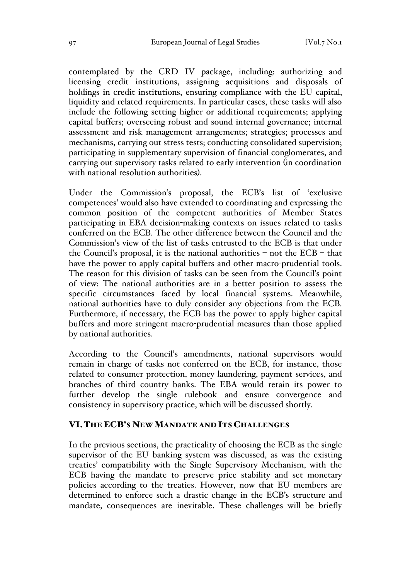contemplated by the CRD IV package, including: authorizing and licensing credit institutions, assigning acquisitions and disposals of holdings in credit institutions, ensuring compliance with the EU capital, liquidity and related requirements. In particular cases, these tasks will also include the following setting higher or additional requirements; applying capital buffers; overseeing robust and sound internal governance; internal assessment and risk management arrangements; strategies; processes and mechanisms, carrying out stress tests; conducting consolidated supervision; participating in supplementary supervision of financial conglomerates, and carrying out supervisory tasks related to early intervention (in coordination with national resolution authorities).

Under the Commission's proposal, the ECB's list of 'exclusive competences' would also have extended to coordinating and expressing the common position of the competent authorities of Member States participating in EBA decision-making contexts on issues related to tasks conferred on the ECB. The other difference between the Council and the Commission's view of the list of tasks entrusted to the ECB is that under the Council's proposal, it is the national authorities – not the  $ECB$  – that have the power to apply capital buffers and other macro-prudential tools. The reason for this division of tasks can be seen from the Council's point of view: The national authorities are in a better position to assess the specific circumstances faced by local financial systems. Meanwhile, national authorities have to duly consider any objections from the ECB. Furthermore, if necessary, the ECB has the power to apply higher capital buffers and more stringent macro-prudential measures than those applied by national authorities.

According to the Council's amendments, national supervisors would remain in charge of tasks not conferred on the ECB, for instance, those related to consumer protection, money laundering, payment services, and branches of third country banks. The EBA would retain its power to further develop the single rulebook and ensure convergence and consistency in supervisory practice, which will be discussed shortly.

### VI.THE ECB'S NEW MANDATE AND ITS CHALLENGES

In the previous sections, the practicality of choosing the ECB as the single supervisor of the EU banking system was discussed, as was the existing treaties' compatibility with the Single Supervisory Mechanism, with the ECB having the mandate to preserve price stability and set monetary policies according to the treaties. However, now that EU members are determined to enforce such a drastic change in the ECB's structure and mandate, consequences are inevitable. These challenges will be briefly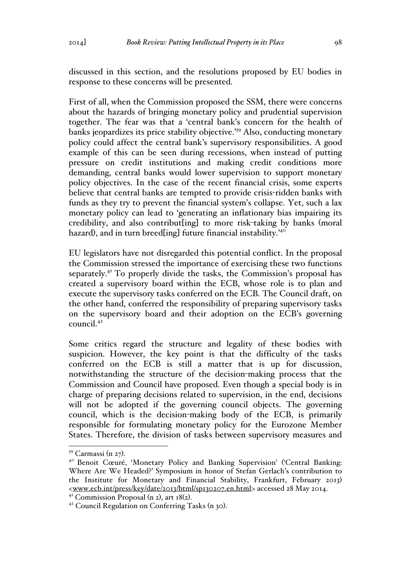discussed in this section, and the resolutions proposed by EU bodies in response to these concerns will be presented.

First of all, when the Commission proposed the SSM, there were concerns about the hazards of bringing monetary policy and prudential supervision together. The fear was that a 'central bank's concern for the health of banks jeopardizes its price stability objective.'39 Also, conducting monetary policy could affect the central bank's supervisory responsibilities. A good example of this can be seen during recessions, when instead of putting pressure on credit institutions and making credit conditions more demanding, central banks would lower supervision to support monetary policy objectives. In the case of the recent financial crisis, some experts believe that central banks are tempted to provide crisis-ridden banks with funds as they try to prevent the financial system's collapse. Yet, such a lax monetary policy can lead to 'generating an inflationary bias impairing its credibility, and also contribut[ing] to more risk-taking by banks (moral hazard), and in turn breed[ing] future financial instability.<sup>40</sup>

EU legislators have not disregarded this potential conflict. In the proposal the Commission stressed the importance of exercising these two functions separately.41 To properly divide the tasks, the Commission's proposal has created a supervisory board within the ECB, whose role is to plan and execute the supervisory tasks conferred on the ECB. The Council draft, on the other hand, conferred the responsibility of preparing supervisory tasks on the supervisory board and their adoption on the ECB's governing  $\frac{1}{4^2}$ 

Some critics regard the structure and legality of these bodies with suspicion. However, the key point is that the difficulty of the tasks conferred on the ECB is still a matter that is up for discussion, notwithstanding the structure of the decision-making process that the Commission and Council have proposed. Even though a special body is in charge of preparing decisions related to supervision, in the end, decisions will not be adopted if the governing council objects. The governing council, which is the decision-making body of the ECB, is primarily responsible for formulating monetary policy for the Eurozone Member States. Therefore, the division of tasks between supervisory measures and

<sup>&</sup>lt;sup>39</sup> Carmassi (n 27).<br><sup>40</sup> Benoit Cœuré, 'Monetary Policy and Banking Supervision' ('Central Banking: Where Are We Headed?' Symposium in honor of Stefan Gerlach's contribution to the Institute for Monetary and Financial Stability, Frankfurt, February 2013) <www.ecb.int/press/key/date/2013/html/sp130207.en.html> accessed 28 May 2014.

<sup>&</sup>lt;sup>41</sup> Commission Proposal (n 2), art 18(2).<br><sup>42</sup> Council Regulation on Conferring Tasks (n 30).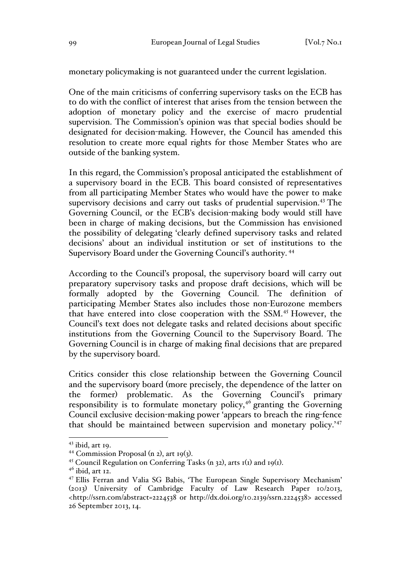monetary policymaking is not guaranteed under the current legislation.

One of the main criticisms of conferring supervisory tasks on the ECB has to do with the conflict of interest that arises from the tension between the adoption of monetary policy and the exercise of macro prudential supervision. The Commission's opinion was that special bodies should be designated for decision-making. However, the Council has amended this resolution to create more equal rights for those Member States who are outside of the banking system.

In this regard, the Commission's proposal anticipated the establishment of a supervisory board in the ECB. This board consisted of representatives from all participating Member States who would have the power to make supervisory decisions and carry out tasks of prudential supervision.<sup>43</sup> The Governing Council, or the ECB's decision-making body would still have been in charge of making decisions, but the Commission has envisioned the possibility of delegating 'clearly defined supervisory tasks and related decisions' about an individual institution or set of institutions to the Supervisory Board under the Governing Council's authority. <sup>44</sup>

According to the Council's proposal, the supervisory board will carry out preparatory supervisory tasks and propose draft decisions, which will be formally adopted by the Governing Council. The definition of participating Member States also includes those non-Eurozone members that have entered into close cooperation with the SSM.<sup>45</sup> However, the Council's text does not delegate tasks and related decisions about specific institutions from the Governing Council to the Supervisory Board. The Governing Council is in charge of making final decisions that are prepared by the supervisory board.

Critics consider this close relationship between the Governing Council and the supervisory board (more precisely, the dependence of the latter on the former) problematic. As the Governing Council's primary responsibility is to formulate monetary policy,<sup>46</sup> granting the Governing Council exclusive decision-making power 'appears to breach the ring-fence that should be maintained between supervision and monetary policy.'<sup>47</sup>

 $43$  ibid, art 19.

<sup>&</sup>lt;sup>44</sup> Commission Proposal (n 2), art 19(3).<br><sup>45</sup> Council Regulation on Conferring Tasks (n 32), arts 1(1) and 19(1).<br><sup>46</sup> ibid, art 12.

<sup>47</sup> Ellis Ferran and Valia SG Babis, 'The European Single Supervisory Mechanism' (2013) University of Cambridge Faculty of Law Research Paper 10/2013, <http://ssrn.com/abstract=2224538 or http://dx.doi.org/10.2139/ssrn.2224538> accessed 26 September 2013, 14.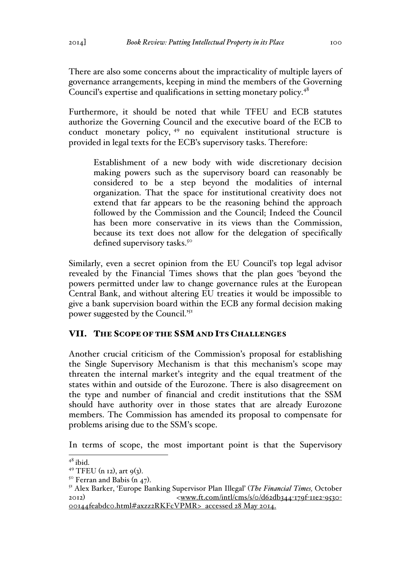There are also some concerns about the impracticality of multiple layers of governance arrangements, keeping in mind the members of the Governing Council's expertise and qualifications in setting monetary policy.<sup>48</sup>

Furthermore, it should be noted that while TFEU and ECB statutes authorize the Governing Council and the executive board of the ECB to conduct monetary policy, <sup>49</sup> no equivalent institutional structure is provided in legal texts for the ECB's supervisory tasks. Therefore:

Establishment of a new body with wide discretionary decision making powers such as the supervisory board can reasonably be considered to be a step beyond the modalities of internal organization. That the space for institutional creativity does not extend that far appears to be the reasoning behind the approach followed by the Commission and the Council; Indeed the Council has been more conservative in its views than the Commission, because its text does not allow for the delegation of specifically defined supervisory tasks.<sup>50</sup>

Similarly, even a secret opinion from the EU Council's top legal advisor revealed by the Financial Times shows that the plan goes 'beyond the powers permitted under law to change governance rules at the European Central Bank, and without altering EU treaties it would be impossible to give a bank supervision board within the ECB any formal decision making power suggested by the Council.<sup>'51</sup>

## VII. THE SCOPE OF THE SSMAND ITS CHALLENGES

Another crucial criticism of the Commission's proposal for establishing the Single Supervisory Mechanism is that this mechanism's scope may threaten the internal market's integrity and the equal treatment of the states within and outside of the Eurozone. There is also disagreement on the type and number of financial and credit institutions that the SSM should have authority over in those states that are already Eurozone members. The Commission has amended its proposal to compensate for problems arising due to the SSM's scope.

In terms of scope, the most important point is that the Supervisory

 $^{48}$  ibid.<br><sup>49</sup> TFEU (n 12), art 9(3).

<sup>&</sup>lt;sup>50</sup> Ferran and Babis (n 47).<br><sup>51</sup> Alex Barker, 'Europe Banking Supervisor Plan Illegal' (*The Financial Times*, October 2012) <www.ft.com/intl/cms/s/0/d62db344-179f-11e2-9530- 00144feabdc0.html#axzz2RKFcVPMR> accessed 28 May 2014.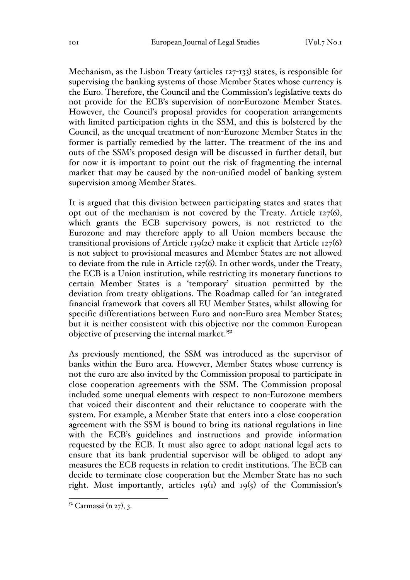Mechanism, as the Lisbon Treaty (articles 127-133) states, is responsible for supervising the banking systems of those Member States whose currency is the Euro. Therefore, the Council and the Commission's legislative texts do not provide for the ECB's supervision of non-Eurozone Member States. However, the Council's proposal provides for cooperation arrangements with limited participation rights in the SSM, and this is bolstered by the Council, as the unequal treatment of non-Eurozone Member States in the former is partially remedied by the latter. The treatment of the ins and outs of the SSM's proposed design will be discussed in further detail, but for now it is important to point out the risk of fragmenting the internal market that may be caused by the non-unified model of banking system supervision among Member States.

It is argued that this division between participating states and states that opt out of the mechanism is not covered by the Treaty. Article 127(6), which grants the ECB supervisory powers, is not restricted to the Eurozone and may therefore apply to all Union members because the transitional provisions of Article 139(2c) make it explicit that Article 127(6) is not subject to provisional measures and Member States are not allowed to deviate from the rule in Article 127(6). In other words, under the Treaty, the ECB is a Union institution, while restricting its monetary functions to certain Member States is a 'temporary' situation permitted by the deviation from treaty obligations. The Roadmap called for 'an integrated financial framework that covers all EU Member States, whilst allowing for specific differentiations between Euro and non-Euro area Member States; but it is neither consistent with this objective nor the common European objective of preserving the internal market.'52

As previously mentioned, the SSM was introduced as the supervisor of banks within the Euro area. However, Member States whose currency is not the euro are also invited by the Commission proposal to participate in close cooperation agreements with the SSM. The Commission proposal included some unequal elements with respect to non-Eurozone members that voiced their discontent and their reluctance to cooperate with the system. For example, a Member State that enters into a close cooperation agreement with the SSM is bound to bring its national regulations in line with the ECB's guidelines and instructions and provide information requested by the ECB. It must also agree to adopt national legal acts to ensure that its bank prudential supervisor will be obliged to adopt any measures the ECB requests in relation to credit institutions. The ECB can decide to terminate close cooperation but the Member State has no such right. Most importantly, articles  $19(1)$  and  $19(5)$  of the Commission's

 $52$  Carmassi (n 27), 3.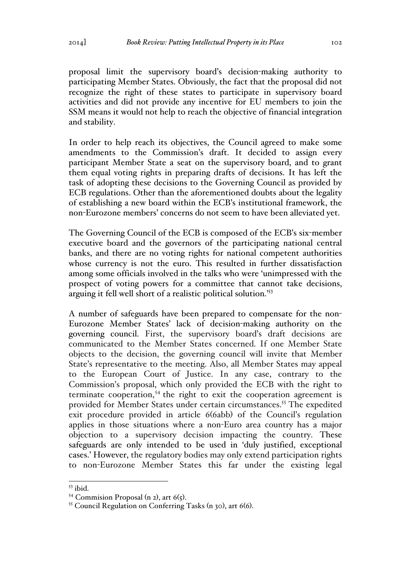proposal limit the supervisory board's decision-making authority to participating Member States. Obviously, the fact that the proposal did not recognize the right of these states to participate in supervisory board activities and did not provide any incentive for EU members to join the SSM means it would not help to reach the objective of financial integration and stability.

In order to help reach its objectives, the Council agreed to make some amendments to the Commission's draft. It decided to assign every participant Member State a seat on the supervisory board, and to grant them equal voting rights in preparing drafts of decisions. It has left the task of adopting these decisions to the Governing Council as provided by ECB regulations. Other than the aforementioned doubts about the legality of establishing a new board within the ECB's institutional framework, the non-Eurozone members' concerns do not seem to have been alleviated yet.

The Governing Council of the ECB is composed of the ECB's six-member executive board and the governors of the participating national central banks, and there are no voting rights for national competent authorities whose currency is not the euro. This resulted in further dissatisfaction among some officials involved in the talks who were 'unimpressed with the prospect of voting powers for a committee that cannot take decisions, arguing it fell well short of a realistic political solution.'53

A number of safeguards have been prepared to compensate for the non-Eurozone Member States' lack of decision-making authority on the governing council. First, the supervisory board's draft decisions are communicated to the Member States concerned. If one Member State objects to the decision, the governing council will invite that Member State's representative to the meeting. Also, all Member States may appeal to the European Court of Justice. In any case, contrary to the Commission's proposal, which only provided the ECB with the right to terminate cooperation,<sup>54</sup> the right to exit the cooperation agreement is provided for Member States under certain circumstances.<sup>55</sup> The expedited exit procedure provided in article 6(6abb) of the Council's regulation applies in those situations where a non-Euro area country has a major objection to a supervisory decision impacting the country. These safeguards are only intended to be used in 'duly justified, exceptional cases.' However, the regulatory bodies may only extend participation rights to non-Eurozone Member States this far under the existing legal

<sup>&</sup>lt;sup>53</sup> ibid.<br><sup>54</sup> Commision Proposal (n 2), art 6(5).<br><sup>55</sup> Council Regulation on Conferring Tasks (n 30), art 6(6).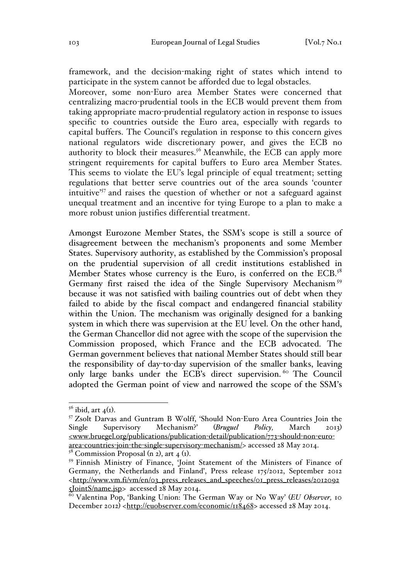framework, and the decision-making right of states which intend to participate in the system cannot be afforded due to legal obstacles.

Moreover, some non-Euro area Member States were concerned that centralizing macro-prudential tools in the ECB would prevent them from taking appropriate macro-prudential regulatory action in response to issues specific to countries outside the Euro area, especially with regards to capital buffers. The Council's regulation in response to this concern gives national regulators wide discretionary power, and gives the ECB no authority to block their measures.<sup>56</sup> Meanwhile, the ECB can apply more stringent requirements for capital buffers to Euro area Member States. This seems to violate the EU's legal principle of equal treatment; setting regulations that better serve countries out of the area sounds 'counter intuitive'<sup>57</sup> and raises the question of whether or not a safeguard against unequal treatment and an incentive for tying Europe to a plan to make a more robust union justifies differential treatment.

Amongst Eurozone Member States, the SSM's scope is still a source of disagreement between the mechanism's proponents and some Member States. Supervisory authority, as established by the Commission's proposal on the prudential supervision of all credit institutions established in Member States whose currency is the Euro, is conferred on the ECB.<sup>58</sup> Germany first raised the idea of the Single Supervisory Mechanism <sup>59</sup> because it was not satisfied with bailing countries out of debt when they failed to abide by the fiscal compact and endangered financial stability within the Union. The mechanism was originally designed for a banking system in which there was supervision at the EU level. On the other hand, the German Chancellor did not agree with the scope of the supervision the Commission proposed, which France and the ECB advocated. The German government believes that national Member States should still bear the responsibility of day-to-day supervision of the smaller banks, leaving only large banks under the ECB's direct supervision.<sup>60</sup> The Council adopted the German point of view and narrowed the scope of the SSM's

<sup>&</sup>lt;sup>56</sup> ibid, art  $4(r)$ .<br><sup>57</sup> Zsolt Darvas and Guntram B Wolff, 'Should Non-Euro Area Countries Join the Single Supervisory Mechanism?' (*Bruguel Policy,* March 2013)  $\leq$ www.bruegel.org/publications/publication-detail/publication/773-should-non-euroarea-countries-join-the-single-supervisory-mechanism/> accessed 28 May 2014.<br><sup>58</sup> Commission Proposal (n 2), art 4 (1).<br><sup>59</sup> Finnish Ministry of Finance, 'Joint Statement of the Ministers of Finance of

Germany, the Netherlands and Finland', Press release 175/2012, September 2012 <http://www.vm.fi/vm/en/03\_press\_releases\_and\_speeches/01\_press\_releases/2012092 5JointS/name.jsp> accessed 28 May 2014.<br><sup>60</sup> Valentina Pop, 'Banking Union: The German Way or No Way' (*EU Observer*, 10

December 2012) <http://euobserver.com/economic/118468> accessed 28 May 2014.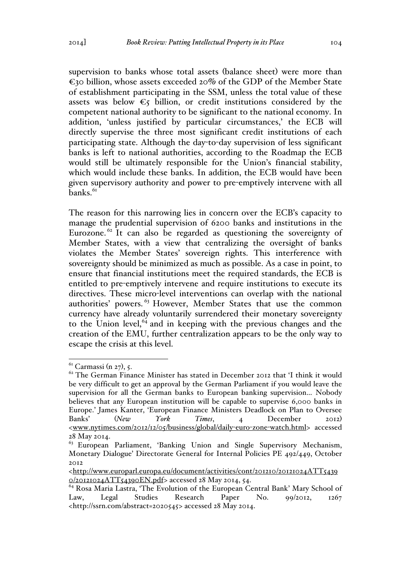supervision to banks whose total assets (balance sheet) were more than  $\epsilon$ 30 billion, whose assets exceeded 20% of the GDP of the Member State of establishment participating in the SSM, unless the total value of these assets was below  $\epsilon$ 5 billion, or credit institutions considered by the competent national authority to be significant to the national economy. In addition, 'unless justified by particular circumstances,' the ECB will directly supervise the three most significant credit institutions of each participating state. Although the day-to-day supervision of less significant banks is left to national authorities, according to the Roadmap the ECB would still be ultimately responsible for the Union's financial stability, which would include these banks. In addition, the ECB would have been given supervisory authority and power to pre-emptively intervene with all  $b$ anks. $61$ 

The reason for this narrowing lies in concern over the ECB's capacity to manage the prudential supervision of 6200 banks and institutions in the Eurozone.<sup> $62$ </sup> It can also be regarded as questioning the sovereignty of Member States, with a view that centralizing the oversight of banks violates the Member States' sovereign rights. This interference with sovereignty should be minimized as much as possible. As a case in point, to ensure that financial institutions meet the required standards, the ECB is entitled to pre-emptively intervene and require institutions to execute its directives. These micro-level interventions can overlap with the national authorities' powers. <sup>63</sup> However, Member States that use the common currency have already voluntarily surrendered their monetary sovereignty to the Union level, $64$  and in keeping with the previous changes and the creation of the EMU, further centralization appears to be the only way to escape the crisis at this level.

 $<sup>61</sup>$  Carmassi (n 27), 5.</sup>

<sup>&</sup>lt;sup>62</sup> The German Finance Minister has stated in December 2012 that 'I think it would be very difficult to get an approval by the German Parliament if you would leave the supervision for all the German banks to European banking supervision… Nobody believes that any European institution will be capable to supervise 6,000 banks in Europe.' James Kanter, 'European Finance Ministers Deadlock on Plan to Oversee Banks' (*New York Times*, 4 December 2012) <www.nytimes.com/2012/12/05/business/global/daily-euro-zone-watch.html> accessed 28 May 2014.

 $63$  European Parliament, 'Banking Union and Single Supervisory Mechanism, Monetary Dialogue' Directorate General for Internal Policies PE 492/449, October 2012

<sup>&</sup>lt;http://www.europarl.europa.eu/document/activities/cont/201210/20121024ATT5439 0/20121024ATT54390EN.pdf> accessed 28 May 2014, 54. 64 Rosa Maria Lastra, 'The Evolution of the European Central Bank' Mary School of

Law, Legal Studies Research Paper No. 99/2012, 1267 <http://ssrn.com/abstract=2020545> accessed 28 May 2014.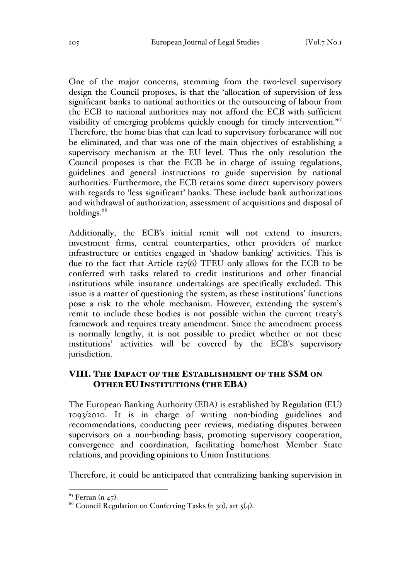One of the major concerns, stemming from the two-level supervisory design the Council proposes, is that the 'allocation of supervision of less significant banks to national authorities or the outsourcing of labour from the ECB to national authorities may not afford the ECB with sufficient visibility of emerging problems quickly enough for timely intervention.<sup>'65</sup> Therefore, the home bias that can lead to supervisory forbearance will not be eliminated, and that was one of the main objectives of establishing a supervisory mechanism at the EU level. Thus the only resolution the Council proposes is that the ECB be in charge of issuing regulations, guidelines and general instructions to guide supervision by national authorities. Furthermore, the ECB retains some direct supervisory powers with regards to 'less significant' banks. These include bank authorizations and withdrawal of authorization, assessment of acquisitions and disposal of holdings. $66$ 

Additionally, the ECB's initial remit will not extend to insurers, investment firms, central counterparties, other providers of market infrastructure or entities engaged in 'shadow banking' activities. This is due to the fact that Article 127(6) TFEU only allows for the ECB to be conferred with tasks related to credit institutions and other financial institutions while insurance undertakings are specifically excluded. This issue is a matter of questioning the system, as these institutions' functions pose a risk to the whole mechanism. However, extending the system's remit to include these bodies is not possible within the current treaty's framework and requires treaty amendment. Since the amendment process is normally lengthy, it is not possible to predict whether or not these institutions' activities will be covered by the ECB's supervisory jurisdiction.

## VIII. THE IMPACT OF THE ESTABLISHMENT OF THE SSM ON OTHER EU INSTITUTIONS (THE EBA)

The European Banking Authority (EBA) is established by Regulation (EU) 1093/2010. It is in charge of writing non-binding guidelines and recommendations, conducting peer reviews, mediating disputes between supervisors on a non-binding basis, promoting supervisory cooperation, convergence and coordination, facilitating home/host Member State relations, and providing opinions to Union Institutions.

Therefore, it could be anticipated that centralizing banking supervision in

<sup>&</sup>lt;sup>65</sup> Ferran (n 47).<br><sup>66</sup> Council Regulation on Conferring Tasks (n 30), art 5(4).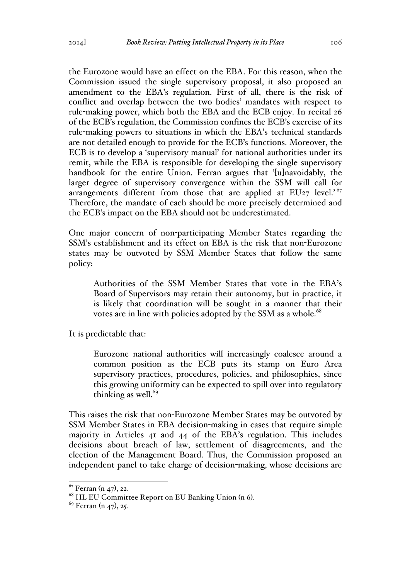the Eurozone would have an effect on the EBA. For this reason, when the Commission issued the single supervisory proposal, it also proposed an amendment to the EBA's regulation. First of all, there is the risk of conflict and overlap between the two bodies' mandates with respect to rule-making power, which both the EBA and the ECB enjoy. In recital 26 of the ECB's regulation, the Commission confines the ECB's exercise of its rule-making powers to situations in which the EBA's technical standards are not detailed enough to provide for the ECB's functions. Moreover, the ECB is to develop a 'supervisory manual' for national authorities under its remit, while the EBA is responsible for developing the single supervisory handbook for the entire Union. Ferran argues that '[u]navoidably, the larger degree of supervisory convergence within the SSM will call for arrangements different from those that are applied at  $EUz7$  level.<sup>'67</sup> Therefore, the mandate of each should be more precisely determined and the ECB's impact on the EBA should not be underestimated.

One major concern of non-participating Member States regarding the SSM's establishment and its effect on EBA is the risk that non-Eurozone states may be outvoted by SSM Member States that follow the same policy:

Authorities of the SSM Member States that vote in the EBA's Board of Supervisors may retain their autonomy, but in practice, it is likely that coordination will be sought in a manner that their votes are in line with policies adopted by the SSM as a whole.<sup>68</sup>

It is predictable that:

Eurozone national authorities will increasingly coalesce around a common position as the ECB puts its stamp on Euro Area supervisory practices, procedures, policies, and philosophies, since this growing uniformity can be expected to spill over into regulatory thinking as well. $69$ 

This raises the risk that non-Eurozone Member States may be outvoted by SSM Member States in EBA decision-making in cases that require simple majority in Articles 41 and 44 of the EBA's regulation. This includes decisions about breach of law, settlement of disagreements, and the election of the Management Board. Thus, the Commission proposed an independent panel to take charge of decision-making, whose decisions are

 $67$  Ferran (n 47), 22.

<sup>&</sup>lt;sup>68</sup> HL EU Committee Report on EU Banking Union (n 6).<br><sup>69</sup> Ferran (n 47), 25.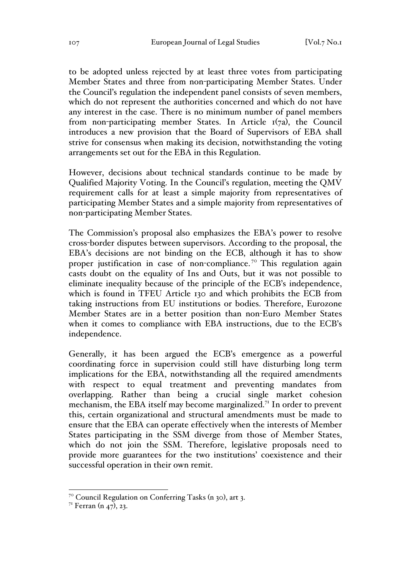to be adopted unless rejected by at least three votes from participating Member States and three from non-participating Member States. Under the Council's regulation the independent panel consists of seven members, which do not represent the authorities concerned and which do not have any interest in the case. There is no minimum number of panel members from non-participating member States. In Article 1(7a), the Council introduces a new provision that the Board of Supervisors of EBA shall strive for consensus when making its decision, notwithstanding the voting arrangements set out for the EBA in this Regulation.

However, decisions about technical standards continue to be made by Qualified Majority Voting. In the Council's regulation, meeting the QMV requirement calls for at least a simple majority from representatives of participating Member States and a simple majority from representatives of non-participating Member States.

The Commission's proposal also emphasizes the EBA's power to resolve cross-border disputes between supervisors. According to the proposal, the EBA's decisions are not binding on the ECB, although it has to show proper justification in case of non-compliance.<sup>70</sup> This regulation again casts doubt on the equality of Ins and Outs, but it was not possible to eliminate inequality because of the principle of the ECB's independence, which is found in TFEU Article 130 and which prohibits the ECB from taking instructions from EU institutions or bodies. Therefore, Eurozone Member States are in a better position than non-Euro Member States when it comes to compliance with EBA instructions, due to the ECB's independence.

Generally, it has been argued the ECB's emergence as a powerful coordinating force in supervision could still have disturbing long term implications for the EBA, notwithstanding all the required amendments with respect to equal treatment and preventing mandates from overlapping. Rather than being a crucial single market cohesion mechanism, the EBA itself may become marginalized.<sup>71</sup> In order to prevent this, certain organizational and structural amendments must be made to ensure that the EBA can operate effectively when the interests of Member States participating in the SSM diverge from those of Member States, which do not join the SSM. Therefore, legislative proposals need to provide more guarantees for the two institutions' coexistence and their successful operation in their own remit.

 <sup>70</sup> Council Regulation on Conferring Tasks (n 30), art 3.

 $7^1$  Ferran (n 47), 23.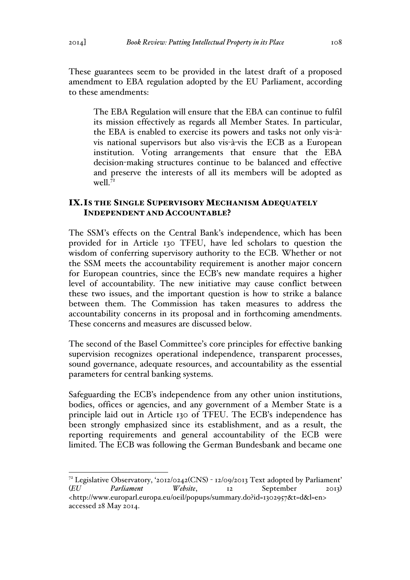These guarantees seem to be provided in the latest draft of a proposed amendment to EBA regulation adopted by the EU Parliament, according to these amendments:

The EBA Regulation will ensure that the EBA can continue to fulfil its mission effectively as regards all Member States. In particular, the EBA is enabled to exercise its powers and tasks not only vis-àvis national supervisors but also vis-à-vis the ECB as a European institution. Voting arrangements that ensure that the EBA decision-making structures continue to be balanced and effective and preserve the interests of all its members will be adopted as well. $7<sup>2</sup>$ 

## IX.IS THE SINGLE SUPERVISORY MECHANISM ADEQUATELY INDEPENDENT AND ACCOUNTABLE?

The SSM's effects on the Central Bank's independence, which has been provided for in Article 130 TFEU, have led scholars to question the wisdom of conferring supervisory authority to the ECB. Whether or not the SSM meets the accountability requirement is another major concern for European countries, since the ECB's new mandate requires a higher level of accountability. The new initiative may cause conflict between these two issues, and the important question is how to strike a balance between them. The Commission has taken measures to address the accountability concerns in its proposal and in forthcoming amendments. These concerns and measures are discussed below.

The second of the Basel Committee's core principles for effective banking supervision recognizes operational independence, transparent processes, sound governance, adequate resources, and accountability as the essential parameters for central banking systems.

Safeguarding the ECB's independence from any other union institutions, bodies, offices or agencies, and any government of a Member State is a principle laid out in Article 130 of TFEU. The ECB's independence has been strongly emphasized since its establishment, and as a result, the reporting requirements and general accountability of the ECB were limited. The ECB was following the German Bundesbank and became one

<sup>&</sup>lt;sup>72</sup> Legislative Observatory, '2012/0242(CNS) - 12/09/2013 Text adopted by Parliament' (*EU Parliament Website*, 12 September 2013) <http://www.europarl.europa.eu/oeil/popups/summary.do?id=1302957&t=d&l=en> accessed 28 May 2014.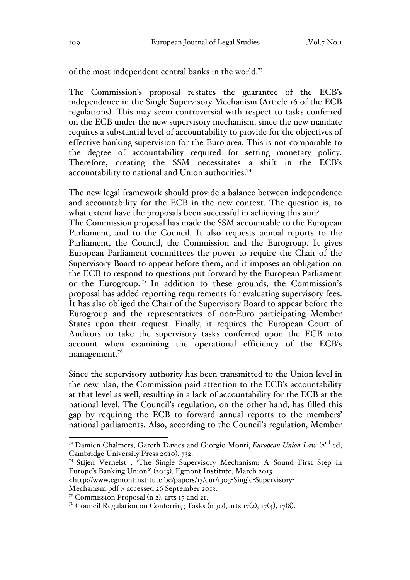of the most independent central banks in the world.73

The Commission's proposal restates the guarantee of the ECB's independence in the Single Supervisory Mechanism (Article 16 of the ECB regulations). This may seem controversial with respect to tasks conferred on the ECB under the new supervisory mechanism, since the new mandate requires a substantial level of accountability to provide for the objectives of effective banking supervision for the Euro area. This is not comparable to the degree of accountability required for setting monetary policy. Therefore, creating the SSM necessitates a shift in the ECB's accountability to national and Union authorities.74

The new legal framework should provide a balance between independence and accountability for the ECB in the new context. The question is, to what extent have the proposals been successful in achieving this aim?

The Commission proposal has made the SSM accountable to the European Parliament, and to the Council. It also requests annual reports to the Parliament, the Council, the Commission and the Eurogroup. It gives European Parliament committees the power to require the Chair of the Supervisory Board to appear before them, and it imposes an obligation on the ECB to respond to questions put forward by the European Parliament or the Eurogroup. <sup>75</sup> In addition to these grounds, the Commission's proposal has added reporting requirements for evaluating supervisory fees. It has also obliged the Chair of the Supervisory Board to appear before the Eurogroup and the representatives of non-Euro participating Member States upon their request. Finally, it requires the European Court of Auditors to take the supervisory tasks conferred upon the ECB into account when examining the operational efficiency of the ECB's management.<sup>76</sup>

Since the supervisory authority has been transmitted to the Union level in the new plan, the Commission paid attention to the ECB's accountability at that level as well, resulting in a lack of accountability for the ECB at the national level. The Council's regulation, on the other hand, has filled this gap by requiring the ECB to forward annual reports to the members' national parliaments. Also, according to the Council's regulation, Member

<sup>&</sup>lt;sup>73</sup> Damien Chalmers, Gareth Davies and Giorgio Monti, *European Union Law* (2<sup>nd</sup> ed, Cambridge University Press 2010), 732.

<sup>74</sup> Stijen Verhelst , 'The Single Supervisory Mechanism: A Sound First Step in Europe's Banking Union?' (2013), Egmont Institute, March 2013

<sup>&</sup>lt;http://www.egmontinstitute.be/papers/13/eur/1303-Single-Supervisory-

Mechanism.pdf > accessed 26 September 2013.

<sup>75</sup> Commission Proposal (n 2), arts 17 and 21.

<sup>&</sup>lt;sup>76</sup> Council Regulation on Conferring Tasks (n 30), arts  $17(2)$ ,  $17(4)$ ,  $17(8)$ .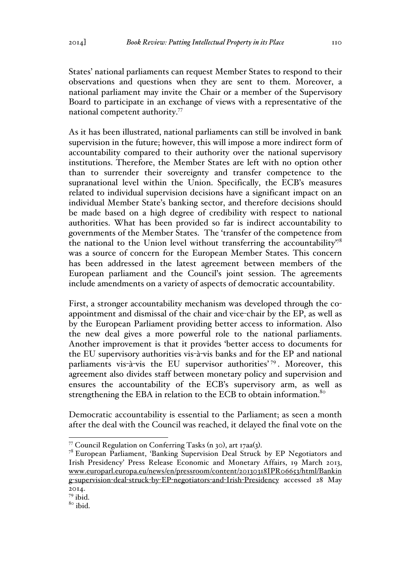States' national parliaments can request Member States to respond to their observations and questions when they are sent to them. Moreover, a national parliament may invite the Chair or a member of the Supervisory Board to participate in an exchange of views with a representative of the national competent authority.77

As it has been illustrated, national parliaments can still be involved in bank supervision in the future; however, this will impose a more indirect form of accountability compared to their authority over the national supervisory institutions. Therefore, the Member States are left with no option other than to surrender their sovereignty and transfer competence to the supranational level within the Union. Specifically, the ECB's measures related to individual supervision decisions have a significant impact on an individual Member State's banking sector, and therefore decisions should be made based on a high degree of credibility with respect to national authorities. What has been provided so far is indirect accountability to governments of the Member States. The 'transfer of the competence from the national to the Union level without transferring the accountability<sup>78</sup> was a source of concern for the European Member States. This concern has been addressed in the latest agreement between members of the European parliament and the Council's joint session. The agreements include amendments on a variety of aspects of democratic accountability.

First, a stronger accountability mechanism was developed through the coappointment and dismissal of the chair and vice-chair by the EP, as well as by the European Parliament providing better access to information. Also the new deal gives a more powerful role to the national parliaments. Another improvement is that it provides 'better access to documents for the EU supervisory authorities vis-à-vis banks and for the EP and national parliaments vis-à-vis the EU supervisor authorities'<sup>79</sup>. Moreover, this agreement also divides staff between monetary policy and supervision and ensures the accountability of the ECB's supervisory arm, as well as strengthening the EBA in relation to the ECB to obtain information.<sup>80</sup>

Democratic accountability is essential to the Parliament; as seen a month after the deal with the Council was reached, it delayed the final vote on the

<sup>&</sup>lt;sup>77</sup> Council Regulation on Conferring Tasks (n 30), art 17aa(3).<br><sup>78</sup> European Parliament, 'Banking Supervision Deal Struck by EP Negotiators and Irish Presidency' Press Release Economic and Monetary Affairs, 19 March 2013, www.europarl.europa.eu/news/en/pressroom/content/20130318IPR06653/html/Bankin g-supervision-deal-struck-by-EP-negotiators-and-Irish-Presidency accessed 28 May 2014.

 $79$  ibid.

 $8^{\circ}$  ibid.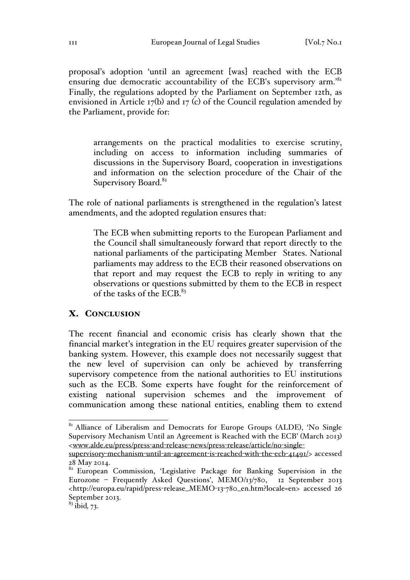proposal's adoption 'until an agreement [was] reached with the ECB ensuring due democratic accountability of the ECB's supervisory arm.<sup>81</sup> Finally, the regulations adopted by the Parliament on September 12th, as envisioned in Article 17(b) and 17 (c) of the Council regulation amended by the Parliament, provide for:

arrangements on the practical modalities to exercise scrutiny, including on access to information including summaries of discussions in the Supervisory Board, cooperation in investigations and information on the selection procedure of the Chair of the Supervisory Board.<sup>82</sup>

The role of national parliaments is strengthened in the regulation's latest amendments, and the adopted regulation ensures that:

The ECB when submitting reports to the European Parliament and the Council shall simultaneously forward that report directly to the national parliaments of the participating Member States. National parliaments may address to the ECB their reasoned observations on that report and may request the ECB to reply in writing to any observations or questions submitted by them to the ECB in respect of the tasks of the ECB.<sup>83</sup>

#### X. CONCLUSION

The recent financial and economic crisis has clearly shown that the financial market's integration in the EU requires greater supervision of the banking system. However, this example does not necessarily suggest that the new level of supervision can only be achieved by transferring supervisory competence from the national authorities to EU institutions such as the ECB. Some experts have fought for the reinforcement of existing national supervision schemes and the improvement of communication among these national entities, enabling them to extend

 $81$  Alliance of Liberalism and Democrats for Europe Groups (ALDE), 'No Single Supervisory Mechanism Until an Agreement is Reached with the ECB' (March 2013) <www.alde.eu/press/press-and-release-news/press-release/article/no-single-

supervisory-mechanism-until-an-agreement-is-reached-with-the-ecb-41491/> accessed 28 May 2014.

<sup>&</sup>lt;sup>82</sup> European Commission, 'Legislative Package for Banking Supervision in the Eurozone – Frequently Asked Questions', MEMO/13/780, 12 September 2013 <http://europa.eu/rapid/press-release\_MEMO-13-780\_en.htm?locale=en> accessed 26 September 2013.

<sup>83</sup> ibid*,* 73.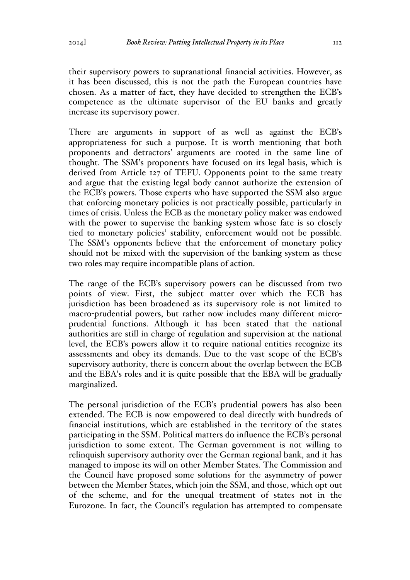their supervisory powers to supranational financial activities. However, as it has been discussed, this is not the path the European countries have chosen. As a matter of fact, they have decided to strengthen the ECB's competence as the ultimate supervisor of the EU banks and greatly increase its supervisory power.

There are arguments in support of as well as against the ECB's appropriateness for such a purpose. It is worth mentioning that both proponents and detractors' arguments are rooted in the same line of thought. The SSM's proponents have focused on its legal basis, which is derived from Article 127 of TEFU. Opponents point to the same treaty and argue that the existing legal body cannot authorize the extension of the ECB's powers. Those experts who have supported the SSM also argue that enforcing monetary policies is not practically possible, particularly in times of crisis. Unless the ECB as the monetary policy maker was endowed with the power to supervise the banking system whose fate is so closely tied to monetary policies' stability, enforcement would not be possible. The SSM's opponents believe that the enforcement of monetary policy should not be mixed with the supervision of the banking system as these two roles may require incompatible plans of action.

The range of the ECB's supervisory powers can be discussed from two points of view. First, the subject matter over which the ECB has jurisdiction has been broadened as its supervisory role is not limited to macro-prudential powers, but rather now includes many different microprudential functions. Although it has been stated that the national authorities are still in charge of regulation and supervision at the national level, the ECB's powers allow it to require national entities recognize its assessments and obey its demands. Due to the vast scope of the ECB's supervisory authority, there is concern about the overlap between the ECB and the EBA's roles and it is quite possible that the EBA will be gradually marginalized.

The personal jurisdiction of the ECB's prudential powers has also been extended. The ECB is now empowered to deal directly with hundreds of financial institutions, which are established in the territory of the states participating in the SSM. Political matters do influence the ECB's personal jurisdiction to some extent. The German government is not willing to relinquish supervisory authority over the German regional bank, and it has managed to impose its will on other Member States. The Commission and the Council have proposed some solutions for the asymmetry of power between the Member States, which join the SSM, and those, which opt out of the scheme, and for the unequal treatment of states not in the Eurozone. In fact, the Council's regulation has attempted to compensate